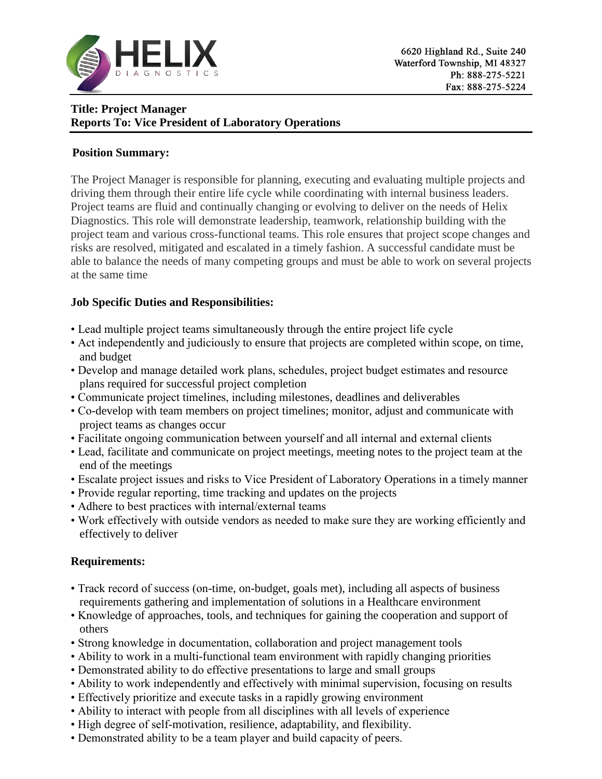

# **Title: Project Manager Reports To: Vice President of Laboratory Operations**

#### **Position Summary:**

The Project Manager is responsible for planning, executing and evaluating multiple projects and driving them through their entire life cycle while coordinating with internal business leaders. Project teams are fluid and continually changing or evolving to deliver on the needs of Helix Diagnostics. This role will demonstrate leadership, teamwork, relationship building with the project team and various cross-functional teams. This role ensures that project scope changes and risks are resolved, mitigated and escalated in a timely fashion. A successful candidate must be able to balance the needs of many competing groups and must be able to work on several projects at the same time

### **Job Specific Duties and Responsibilities:**

- Lead multiple project teams simultaneously through the entire project life cycle
- Act independently and judiciously to ensure that projects are completed within scope, on time, and budget
- Develop and manage detailed work plans, schedules, project budget estimates and resource plans required for successful project completion
- Communicate project timelines, including milestones, deadlines and deliverables
- Co-develop with team members on project timelines; monitor, adjust and communicate with project teams as changes occur
- Facilitate ongoing communication between yourself and all internal and external clients
- Lead, facilitate and communicate on project meetings, meeting notes to the project team at the end of the meetings
- Escalate project issues and risks to Vice President of Laboratory Operations in a timely manner
- Provide regular reporting, time tracking and updates on the projects
- Adhere to best practices with internal/external teams
- Work effectively with outside vendors as needed to make sure they are working efficiently and effectively to deliver

### **Requirements:**

- Track record of success (on-time, on-budget, goals met), including all aspects of business requirements gathering and implementation of solutions in a Healthcare environment
- Knowledge of approaches, tools, and techniques for gaining the cooperation and support of others
- Strong knowledge in documentation, collaboration and project management tools
- Ability to work in a multi-functional team environment with rapidly changing priorities
- Demonstrated ability to do effective presentations to large and small groups
- Ability to work independently and effectively with minimal supervision, focusing on results
- Effectively prioritize and execute tasks in a rapidly growing environment
- Ability to interact with people from all disciplines with all levels of experience
- High degree of self-motivation, resilience, adaptability, and flexibility.
- Demonstrated ability to be a team player and build capacity of peers.